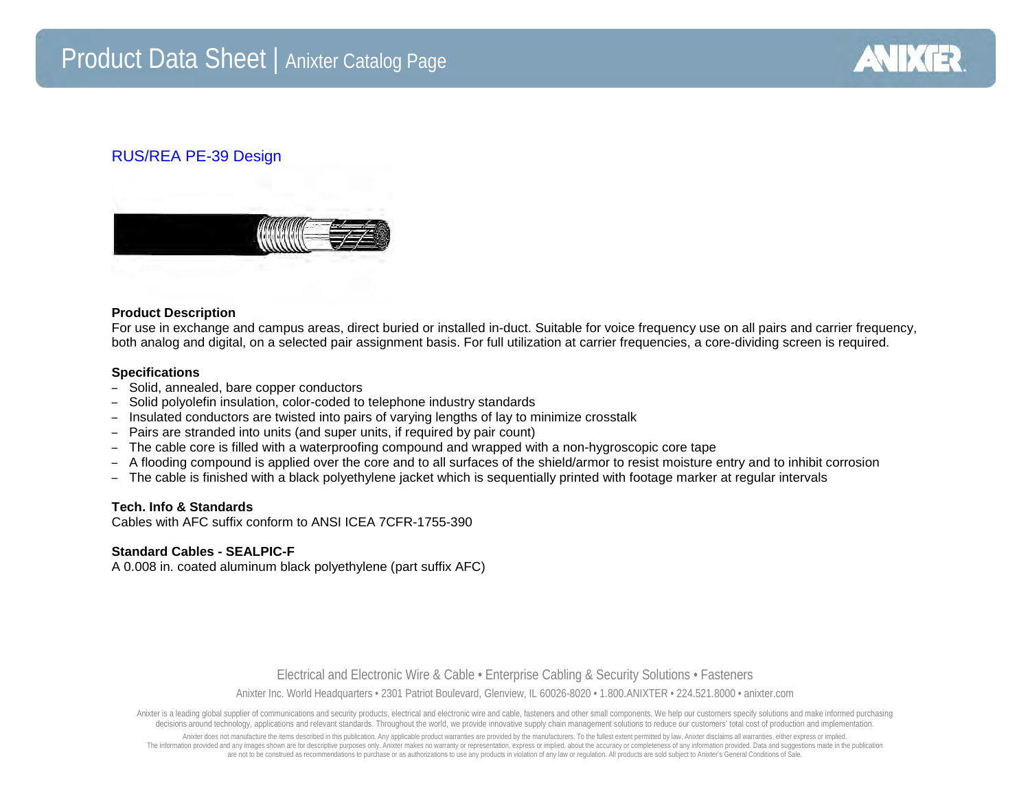

## RUS/REA PE-39 Design



#### **Product Description**

For use in exchange and campus areas, direct buried or installed in-duct. Suitable for voice frequency use on all pairs and carrier frequency, both analog and digital, on a selected pair assignment basis. For full utilization at carrier frequencies, a core-dividing screen is required.

#### **Specifications**

- Solid, annealed, bare copper conductors
- Solid polyolefin insulation, color-coded to telephone industry standards
- Insulated conductors are twisted into pairs of varying lengths of lay to minimize crosstalk
- Pairs are stranded into units (and super units, if required by pair count)
- The cable core is filled with a waterproofing compound and wrapped with a non-hygroscopic core tape
- A flooding compound is applied over the core and to all surfaces of the shield/armor to resist moisture entry and to inhibit corrosion
- The cable is finished with a black polyethylene jacket which is sequentially printed with footage marker at regular intervals

#### **Tech. Info & Standards**

Cables with AFC suffix conform to ANSI ICEA 7CFR-1755-390

#### **Standard Cables - SEALPIC-F**

A 0.008 in. coated aluminum black polyethylene (part suffix AFC)

### Electrical and Electronic Wire & Cable • Enterprise Cabling & Security Solutions • Fasteners

Anixter Inc. World Headquarters • 2301 Patriot Boulevard, Glenview, IL 60026-8020 • 1.800.ANIXTER • 224.521.8000 • anixter.com

Anixter is a leading global supplier of communications and security products, electrical and electronic wire and cable, fasteners and other small components. We help our customers specify solutions and make informed purcha decisions around technology, applications and relevant standards. Throughout the world, we provide innovative supply chain management solutions to reduce our customers' total cost of production and implementation.

Anixter does not manufacture the items described in this publication. Any applicable product warranties are provided by the manufacturers. To the fullest extent permitted by law, Anixter disclaims all warranties, either ex The information provided and any images shown are for descriptive purposes only. Anixter makes no warranty or representation, express or implied, about the accuracy or completeness of any information provided. Data and sug are not to be construed as recommendations to purchase or as authorizations to use any products in violation of any law or regulation. All products are sold subject to Anixter's General Conditions of Sale.